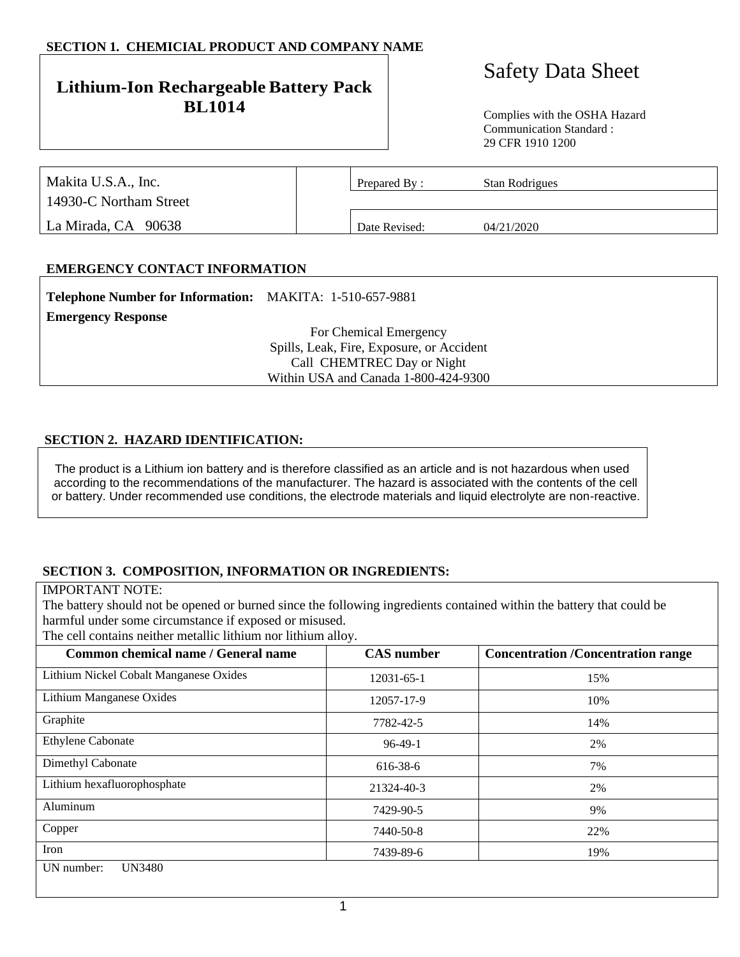## **SECTION 1. CHEMICIAL PRODUCT AND COMPANY NAME**

## **Lithium-Ion Rechargeable Battery Pack BL1014** Complies with the OSHA Hazard

# Safety Data Sheet

Communication Standard : 29 CFR 1910 1200

| Makita U.S.A., Inc.    | Prepared By:  | Stan Rodrigues |  |
|------------------------|---------------|----------------|--|
| 14930-C Northam Street |               |                |  |
| La Mirada, CA 90638    | Date Revised: | 04/21/2020     |  |

## **EMERGENCY CONTACT INFORMATION**

| Telephone Number for Information: MAKITA: 1-510-657-9881 |                                           |
|----------------------------------------------------------|-------------------------------------------|
| <b>Emergency Response</b>                                |                                           |
|                                                          | For Chemical Emergency                    |
|                                                          | Spills, Leak, Fire, Exposure, or Accident |
|                                                          | Call CHEMTREC Day or Night                |
|                                                          | Within USA and Canada 1-800-424-9300      |

#### **SECTION 2. HAZARD IDENTIFICATION:**

The product is a Lithium ion battery and is therefore classified as an article and is not hazardous when used according to the recommendations of the manufacturer. The hazard is associated with the contents of the cell or battery. Under recommended use conditions, the electrode materials and liquid electrolyte are non-reactive.

#### **SECTION 3. COMPOSITION, INFORMATION OR INGREDIENTS:**

IMPORTANT NOTE:

The battery should not be opened or burned since the following ingredients contained within the battery that could be harmful under some circumstance if exposed or misused.

The cell contains neither metallic lithium nor lithium alloy.

| Common chemical name / General name    | <b>CAS</b> number | <b>Concentration /Concentration range</b> |
|----------------------------------------|-------------------|-------------------------------------------|
| Lithium Nickel Cobalt Manganese Oxides | 12031-65-1        | 15%                                       |
| Lithium Manganese Oxides               | 12057-17-9        | 10%                                       |
| Graphite                               | 7782-42-5         | 14%                                       |
| <b>Ethylene Cabonate</b>               | $96-49-1$         | 2%                                        |
| Dimethyl Cabonate                      | 616-38-6          | 7%                                        |
| Lithium hexafluorophosphate            | 21324-40-3        | 2%                                        |
| Aluminum                               | 7429-90-5         | 9%                                        |
| Copper                                 | 7440-50-8         | 22%                                       |
| Iron                                   | 7439-89-6         | 19%                                       |
| <b>UN3480</b><br>UN number:            |                   |                                           |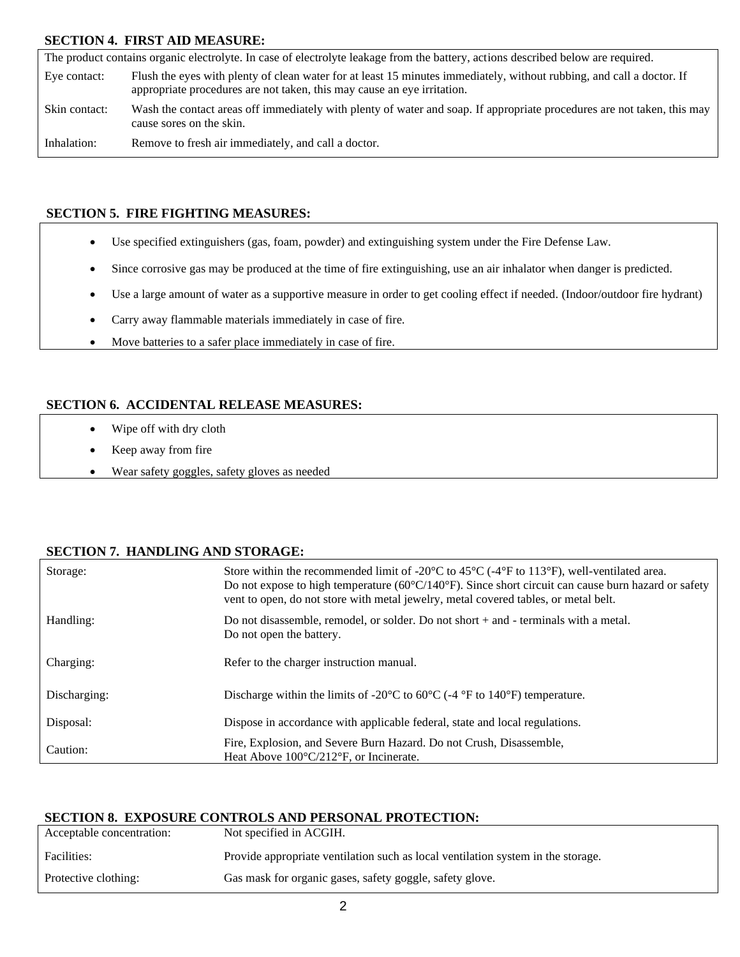## **SECTION 4. FIRST AID MEASURE:**

The product contains organic electrolyte. In case of electrolyte leakage from the battery, actions described below are required. Eye contact: Flush the eyes with plenty of clean water for at least 15 minutes immediately, without rubbing, and call a doctor. If appropriate procedures are not taken, this may cause an eye irritation. Skin contact: Wash the contact areas off immediately with plenty of water and soap. If appropriate procedures are not taken, this may cause sores on the skin. Inhalation: Remove to fresh air immediately, and call a doctor.

## **SECTION 5. FIRE FIGHTING MEASURES:**

- Use specified extinguishers (gas, foam, powder) and extinguishing system under the Fire Defense Law.
- Since corrosive gas may be produced at the time of fire extinguishing, use an air inhalator when danger is predicted.
- Use a large amount of water as a supportive measure in order to get cooling effect if needed. (Indoor/outdoor fire hydrant)
- Carry away flammable materials immediately in case of fire.
- Move batteries to a safer place immediately in case of fire.

## **SECTION 6. ACCIDENTAL RELEASE MEASURES:**

- Wipe off with dry cloth
- Keep away from fire
- Wear safety goggles, safety gloves as needed

#### **SECTION 7. HANDLING AND STORAGE:**

| Storage:     | Store within the recommended limit of -20 $\degree$ C to 45 $\degree$ C (-4 $\degree$ F to 113 $\degree$ F), well-ventilated area.<br>Do not expose to high temperature ( $60^{\circ}$ C/140 $^{\circ}$ F). Since short circuit can cause burn hazard or safety<br>vent to open, do not store with metal jewelry, metal covered tables, or metal belt. |
|--------------|--------------------------------------------------------------------------------------------------------------------------------------------------------------------------------------------------------------------------------------------------------------------------------------------------------------------------------------------------------|
| Handling:    | Do not disassemble, remodel, or solder. Do not short $+$ and $-$ terminals with a metal.<br>Do not open the battery.                                                                                                                                                                                                                                   |
| Charging:    | Refer to the charger instruction manual.                                                                                                                                                                                                                                                                                                               |
| Discharging: | Discharge within the limits of -20 $\degree$ C to 60 $\degree$ C (-4 $\degree$ F to 140 $\degree$ F) temperature.                                                                                                                                                                                                                                      |
| Disposal:    | Dispose in accordance with applicable federal, state and local regulations.                                                                                                                                                                                                                                                                            |
| Caution:     | Fire, Explosion, and Severe Burn Hazard. Do not Crush, Disassemble.<br>Heat Above $100^{\circ}$ C/212 <sup>°</sup> F, or Incinerate.                                                                                                                                                                                                                   |

#### **SECTION 8. EXPOSURE CONTROLS AND PERSONAL PROTECTION:**

| Acceptable concentration: | Not specified in ACGIH.                                                          |
|---------------------------|----------------------------------------------------------------------------------|
| Facilities:               | Provide appropriate ventilation such as local ventilation system in the storage. |
| Protective clothing:      | Gas mask for organic gases, safety goggle, safety glove.                         |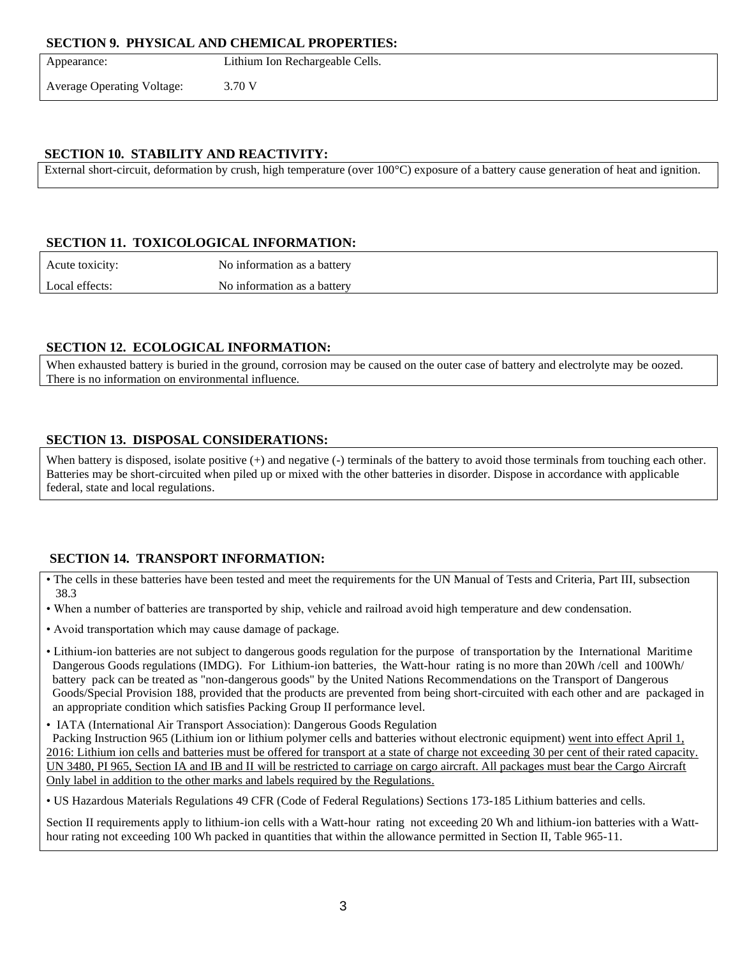#### **SECTION 9. PHYSICAL AND CHEMICAL PROPERTIES:**

| Appearance:                       | Lithium Ion Rechargeable Cells. |
|-----------------------------------|---------------------------------|
| <b>Average Operating Voltage:</b> | 3.70 V                          |
|                                   |                                 |

## **SECTION 10. STABILITY AND REACTIVITY:**

External short-circuit, deformation by crush, high temperature (over 100°C) exposure of a battery cause generation of heat and ignition.

## **SECTION 11. TOXICOLOGICAL INFORMATION:**

Acute toxicity: No information as a battery Local effects: No information as a battery

## **SECTION 12. ECOLOGICAL INFORMATION:**

When exhausted battery is buried in the ground, corrosion may be caused on the outer case of battery and electrolyte may be oozed. There is no information on environmental influence.

## **SECTION 13. DISPOSAL CONSIDERATIONS:**

When battery is disposed, isolate positive  $(+)$  and negative  $(-)$  terminals of the battery to avoid those terminals from touching each other. Batteries may be short-circuited when piled up or mixed with the other batteries in disorder. Dispose in accordance with applicable federal, state and local regulations.

## **SECTION 14. TRANSPORT INFORMATION:**

- The cells in these batteries have been tested and meet the requirements for the UN Manual of Tests and Criteria, Part III, subsection 38.3
- When a number of batteries are transported by ship, vehicle and railroad avoid high temperature and dew condensation.
- Avoid transportation which may cause damage of package.
- Lithium-ion batteries are not subject to dangerous goods regulation for the purpose of transportation by the International Maritime Dangerous Goods regulations (IMDG). For Lithium-ion batteries, the Watt-hour rating is no more than 20Wh /cell and 100Wh/ battery pack can be treated as "non-dangerous goods" by the United Nations Recommendations on the Transport of Dangerous Goods/Special Provision 188, provided that the products are prevented from being short-circuited with each other and are packaged in an appropriate condition which satisfies Packing Group II performance level.
- IATA (International Air Transport Association): Dangerous Goods Regulation

 Packing Instruction 965 (Lithium ion or lithium polymer cells and batteries without electronic equipment) went into effect April 1, 2016: Lithium ion cells and batteries must be offered for transport at a state of charge not exceeding 30 per cent of their rated capacity. UN 3480, PI 965, Section IA and IB and II will be restricted to carriage on cargo aircraft. All packages must bear the Cargo Aircraft Only label in addition to the other marks and labels required by the Regulations.

• US Hazardous Materials Regulations 49 CFR (Code of Federal Regulations) Sections 173-185 Lithium batteries and cells.

Section II requirements apply to lithium-ion cells with a Watt-hour rating not exceeding 20 Wh and lithium-ion batteries with a Watthour rating not exceeding 100 Wh packed in quantities that within the allowance permitted in Section II, Table 965-11.